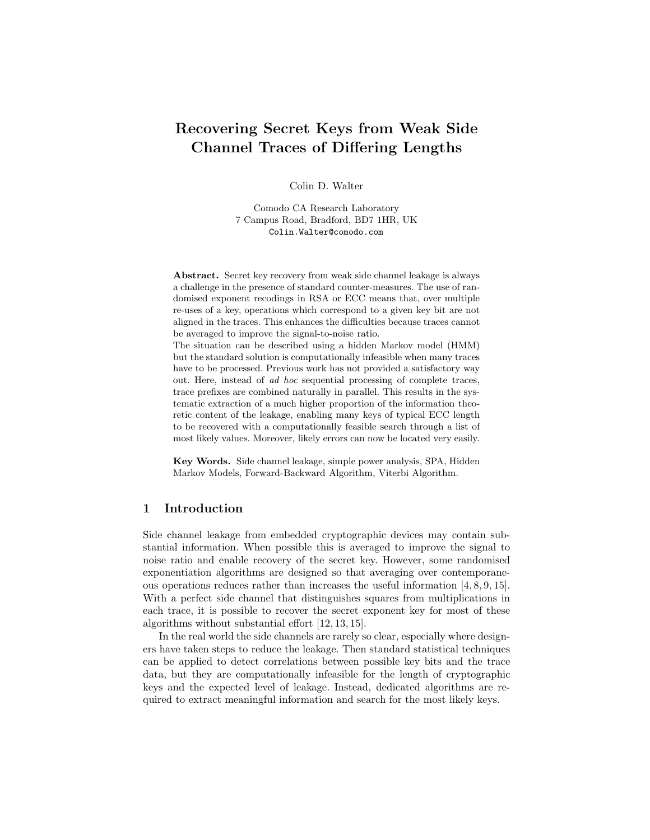# **Recovering Secret Keys from Weak Side Channel Traces of Differing Lengths**

Colin D. Walter

Comodo CA Research Laboratory 7 Campus Road, Bradford, BD7 1HR, UK Colin.Walter@comodo.com

**Abstract.** Secret key recovery from weak side channel leakage is always a challenge in the presence of standard counter-measures. The use of randomised exponent recodings in RSA or ECC means that, over multiple re-uses of a key, operations which correspond to a given key bit are not aligned in the traces. This enhances the difficulties because traces cannot be averaged to improve the signal-to-noise ratio.

The situation can be described using a hidden Markov model (HMM) but the standard solution is computationally infeasible when many traces have to be processed. Previous work has not provided a satisfactory way out. Here, instead of ad hoc sequential processing of complete traces, trace prefixes are combined naturally in parallel. This results in the systematic extraction of a much higher proportion of the information theoretic content of the leakage, enabling many keys of typical ECC length to be recovered with a computationally feasible search through a list of most likely values. Moreover, likely errors can now be located very easily.

**Key Words.** Side channel leakage, simple power analysis, SPA, Hidden Markov Models, Forward-Backward Algorithm, Viterbi Algorithm.

#### **1 Introduction**

Side channel leakage from embedded cryptographic devices may contain substantial information. When possible this is averaged to improve the signal to noise ratio and enable recovery of the secret key. However, some randomised exponentiation algorithms are designed so that averaging over contemporaneous operations reduces rather than increases the useful information [4, 8, 9, 15]. With a perfect side channel that distinguishes squares from multiplications in each trace, it is possible to recover the secret exponent key for most of these algorithms without substantial effort [12, 13, 15].

In the real world the side channels are rarely so clear, especially where designers have taken steps to reduce the leakage. Then standard statistical techniques can be applied to detect correlations between possible key bits and the trace data, but they are computationally infeasible for the length of cryptographic keys and the expected level of leakage. Instead, dedicated algorithms are required to extract meaningful information and search for the most likely keys.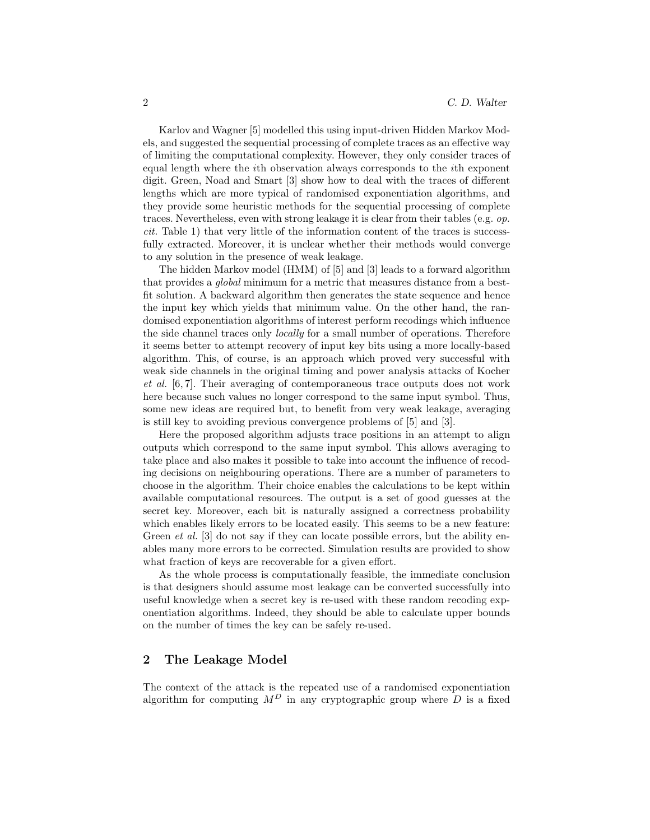Karlov and Wagner [5] modelled this using input-driven Hidden Markov Models, and suggested the sequential processing of complete traces as an effective way of limiting the computational complexity. However, they only consider traces of equal length where the ith observation always corresponds to the ith exponent digit. Green, Noad and Smart [3] show how to deal with the traces of different lengths which are more typical of randomised exponentiation algorithms, and they provide some heuristic methods for the sequential processing of complete traces. Nevertheless, even with strong leakage it is clear from their tables (e.g. *op. cit.* Table 1) that very little of the information content of the traces is successfully extracted. Moreover, it is unclear whether their methods would converge to any solution in the presence of weak leakage.

The hidden Markov model (HMM) of [5] and [3] leads to a forward algorithm that provides a *global* minimum for a metric that measures distance from a bestfit solution. A backward algorithm then generates the state sequence and hence the input key which yields that minimum value. On the other hand, the randomised exponentiation algorithms of interest perform recodings which influence the side channel traces only *locally* for a small number of operations. Therefore it seems better to attempt recovery of input key bits using a more locally-based algorithm. This, of course, is an approach which proved very successful with weak side channels in the original timing and power analysis attacks of Kocher *et al.* [6, 7]. Their averaging of contemporaneous trace outputs does not work here because such values no longer correspond to the same input symbol. Thus, some new ideas are required but, to benefit from very weak leakage, averaging is still key to avoiding previous convergence problems of [5] and [3].

Here the proposed algorithm adjusts trace positions in an attempt to align outputs which correspond to the same input symbol. This allows averaging to take place and also makes it possible to take into account the influence of recoding decisions on neighbouring operations. There are a number of parameters to choose in the algorithm. Their choice enables the calculations to be kept within available computational resources. The output is a set of good guesses at the secret key. Moreover, each bit is naturally assigned a correctness probability which enables likely errors to be located easily. This seems to be a new feature: Green *et al.* [3] do not say if they can locate possible errors, but the ability enables many more errors to be corrected. Simulation results are provided to show what fraction of keys are recoverable for a given effort.

As the whole process is computationally feasible, the immediate conclusion is that designers should assume most leakage can be converted successfully into useful knowledge when a secret key is re-used with these random recoding exponentiation algorithms. Indeed, they should be able to calculate upper bounds on the number of times the key can be safely re-used.

## **2 The Leakage Model**

The context of the attack is the repeated use of a randomised exponentiation algorithm for computing  $M^D$  in any cryptographic group where D is a fixed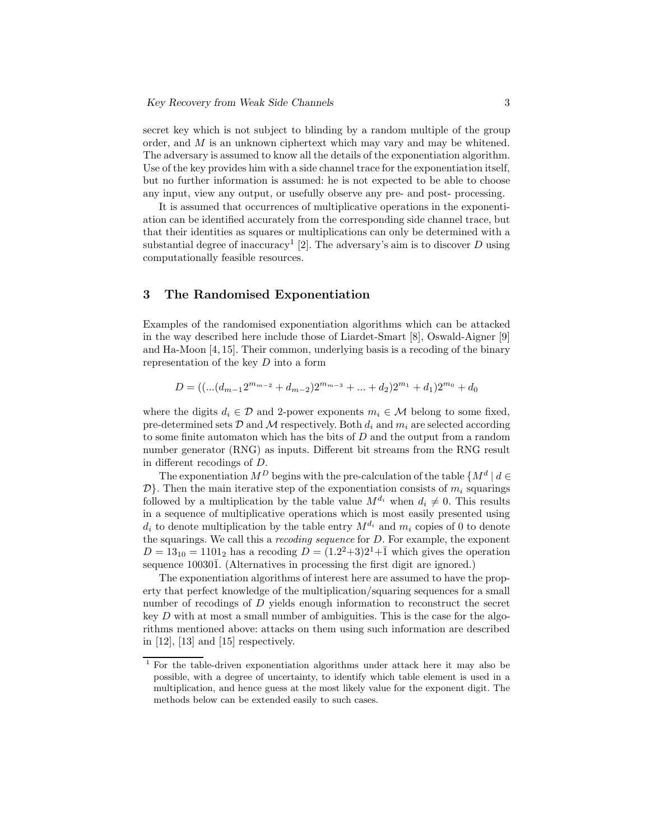secret key which is not subject to blinding by a random multiple of the group order, and M is an unknown ciphertext which may vary and may be whitened. The adversary is assumed to know all the details of the exponentiation algorithm. Use of the key provides him with a side channel trace for the exponentiation itself, but no further information is assumed: he is not expected to be able to choose any input, view any output, or usefully observe any pre- and post- processing.

It is assumed that occurrences of multiplicative operations in the exponentiation can be identified accurately from the corresponding side channel trace, but that their identities as squares or multiplications can only be determined with a substantial degree of inaccuracy<sup>1</sup> [2]. The adversary's aim is to discover  $D$  using computationally feasible resources.

# **3 The Randomised Exponentiation**

Examples of the randomised exponentiation algorithms which can be attacked in the way described here include those of Liardet-Smart [8], Oswald-Aigner [9] and Ha-Moon [4, 15]. Their common, underlying basis is a recoding of the binary representation of the key D into a form

$$
D = ((...(d_{m-1}2^{m_{m-2}} + d_{m-2})2^{m_{m-3}} + ... + d_2)2^{m_1} + d_1)2^{m_0} + d_0
$$

where the digits  $d_i \in \mathcal{D}$  and 2-power exponents  $m_i \in \mathcal{M}$  belong to some fixed, pre-determined sets  $\mathcal D$  and  $\mathcal M$  respectively. Both  $d_i$  and  $m_i$  are selected according to some finite automaton which has the bits of  $D$  and the output from a random number generator (RNG) as inputs. Different bit streams from the RNG result in different recodings of D.

The exponentiation  $M^D$  begins with the pre-calculation of the table  $\{M^d \mid d \in$  $\mathcal{D}$ . Then the main iterative step of the exponentiation consists of  $m_i$  squarings followed by a multiplication by the table value  $M^{d_i}$  when  $d_i \neq 0$ . This results in a sequence of multiplicative operations which is most easily presented using  $d_i$  to denote multiplication by the table entry  $M^{d_i}$  and  $m_i$  copies of 0 to denote the squarings. We call this a *recoding sequence* for D. For example, the exponent  $D = 13_{10} = 1101_2$  has a recoding  $D = (1.2^2+3)2^1+\bar{1}$  which gives the operation sequence  $10030\overline{1}$ . (Alternatives in processing the first digit are ignored.)

The exponentiation algorithms of interest here are assumed to have the property that perfect knowledge of the multiplication/squaring sequences for a small number of recodings of D yields enough information to reconstruct the secret key D with at most a small number of ambiguities. This is the case for the algorithms mentioned above: attacks on them using such information are described in [12], [13] and [15] respectively.

<sup>1</sup> For the table-driven exponentiation algorithms under attack here it may also be possible, with a degree of uncertainty, to identify which table element is used in a multiplication, and hence guess at the most likely value for the exponent digit. The methods below can be extended easily to such cases.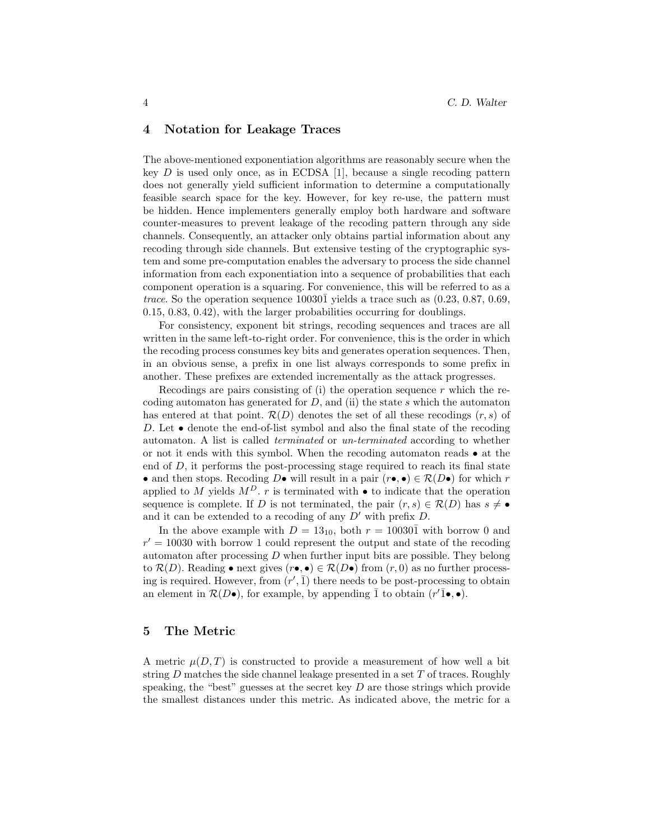#### **4 Notation for Leakage Traces**

The above-mentioned exponentiation algorithms are reasonably secure when the key  $D$  is used only once, as in ECDSA [1], because a single recoding pattern does not generally yield sufficient information to determine a computationally feasible search space for the key. However, for key re-use, the pattern must be hidden. Hence implementers generally employ both hardware and software counter-measures to prevent leakage of the recoding pattern through any side channels. Consequently, an attacker only obtains partial information about any recoding through side channels. But extensive testing of the cryptographic system and some pre-computation enables the adversary to process the side channel information from each exponentiation into a sequence of probabilities that each component operation is a squaring. For convenience, this will be referred to as a *trace*. So the operation sequence  $100301$  yields a trace such as  $(0.23, 0.87, 0.69,$ 0.15, 0.83, 0.42), with the larger probabilities occurring for doublings.

For consistency, exponent bit strings, recoding sequences and traces are all written in the same left-to-right order. For convenience, this is the order in which the recoding process consumes key bits and generates operation sequences. Then, in an obvious sense, a prefix in one list always corresponds to some prefix in another. These prefixes are extended incrementally as the attack progresses.

Recodings are pairs consisting of (i) the operation sequence  $r$  which the recoding automaton has generated for  $D$ , and (ii) the state s which the automaton has entered at that point.  $\mathcal{R}(D)$  denotes the set of all these recodings  $(r, s)$  of D. Let • denote the end-of-list symbol and also the final state of the recoding automaton. A list is called *terminated* or *un-terminated* according to whether or not it ends with this symbol. When the recoding automaton reads • at the end of D, it performs the post-processing stage required to reach its final state • and then stops. Recoding  $D\bullet$  will result in a pair  $(r\bullet,\bullet) \in \mathcal{R}(D\bullet)$  for which r applied to M yields  $M^D$ . r is terminated with  $\bullet$  to indicate that the operation sequence is complete. If D is not terminated, the pair  $(r, s) \in \mathcal{R}(D)$  has  $s \neq \bullet$ and it can be extended to a recoding of any  $D'$  with prefix  $D$ .

In the above example with  $D = 13_{10}$ , both  $r = 10030\overline{1}$  with borrow 0 and  $r' = 10030$  with borrow 1 could represent the output and state of the recoding automaton after processing  $D$  when further input bits are possible. They belong to  $\mathcal{R}(D)$ . Reading • next gives  $(r \bullet, \bullet) \in \mathcal{R}(D \bullet)$  from  $(r, 0)$  as no further processing is required. However, from  $(r', \bar{1})$  there needs to be post-processing to obtain an element in  $\mathcal{R}(D\bullet)$ , for example, by appending  $\bar{1}$  to obtain  $(r'\bar{1}\bullet,\bullet)$ .

#### **5 The Metric**

A metric  $\mu(D,T)$  is constructed to provide a measurement of how well a bit string  $D$  matches the side channel leakage presented in a set  $T$  of traces. Roughly speaking, the "best" guesses at the secret key  $D$  are those strings which provide the smallest distances under this metric. As indicated above, the metric for a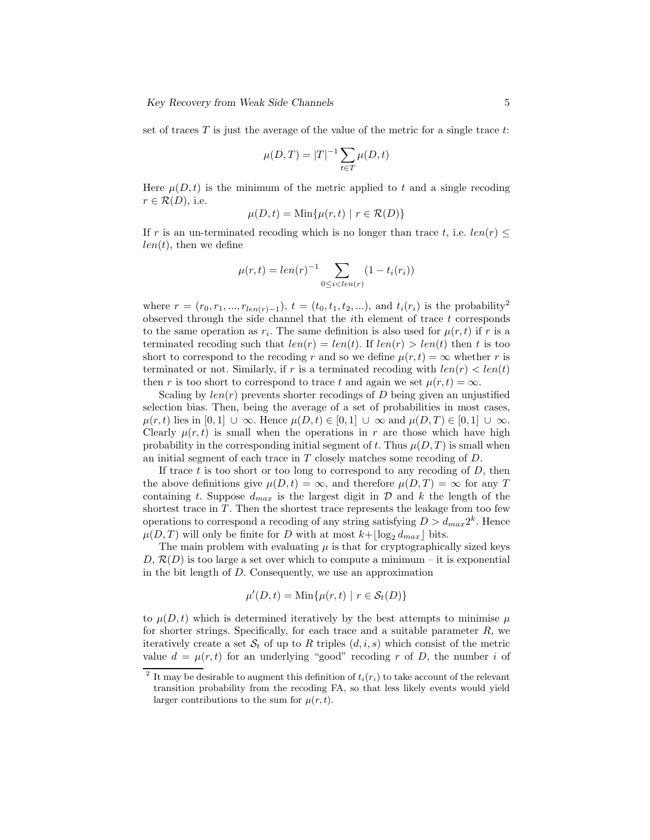set of traces  $T$  is just the average of the value of the metric for a single trace  $t$ :

$$
\mu(D, T) = |T|^{-1} \sum_{t \in T} \mu(D, t)
$$

Here  $\mu(D, t)$  is the minimum of the metric applied to t and a single recoding  $r \in \mathcal{R}(D)$ , i.e.

$$
\mu(D, t) = \min\{\mu(r, t) \mid r \in \mathcal{R}(D)\}
$$

If r is an un-terminated recoding which is no longer than trace t, i.e.  $len(r)$  $len(t)$ , then we define

$$
\mu(r,t) = len(r)^{-1} \sum_{0 \le i < len(r)} (1 - t_i(r_i))
$$

where  $r = (r_0, r_1, ..., r_{len(r)-1}), t = (t_0, t_1, t_2, ...)$ , and  $t_i(r_i)$  is the probability<sup>2</sup> observed through the side channel that the  $i$ th element of trace  $t$  corresponds to the same operation as  $r_i$ . The same definition is also used for  $\mu(r, t)$  if r is a terminated recoding such that  $len(r) = len(t)$ . If  $len(r) > len(t)$  then t is too short to correspond to the recoding r and so we define  $\mu(r, t) = \infty$  whether r is terminated or not. Similarly, if r is a terminated recoding with  $len(r) < len(t)$ then r is too short to correspond to trace t and again we set  $\mu(r, t) = \infty$ .

Scaling by  $len(r)$  prevents shorter recodings of D being given an unjustified selection bias. Then, being the average of a set of probabilities in most cases,  $\mu(r, t)$  lies in  $[0, 1] \cup \infty$ . Hence  $\mu(D, t) \in [0, 1] \cup \infty$  and  $\mu(D, T) \in [0, 1] \cup \infty$ . Clearly  $\mu(r, t)$  is small when the operations in r are those which have high probability in the corresponding initial segment of t. Thus  $\mu(D, T)$  is small when an initial segment of each trace in T closely matches some recoding of D.

If trace  $t$  is too short or too long to correspond to any recoding of  $D$ , then the above definitions give  $\mu(D, t) = \infty$ , and therefore  $\mu(D, T) = \infty$  for any T containing t. Suppose  $d_{max}$  is the largest digit in  $\mathcal D$  and k the length of the shortest trace in  $T$ . Then the shortest trace represents the leakage from too few operations to correspond a recoding of any string satisfying  $D > d_{max}2^k$ . Hence  $\mu(D,T)$  will only be finite for D with at most  $k+|\log_2 d_{max}|$  bits.

The main problem with evaluating  $\mu$  is that for cryptographically sized keys D,  $\mathcal{R}(D)$  is too large a set over which to compute a minimum – it is exponential in the bit length of D. Consequently, we use an approximation

$$
\mu'(D, t) = \text{Min}\{\mu(r, t) \mid r \in \mathcal{S}_t(D)\}
$$

to  $\mu(D, t)$  which is determined iteratively by the best attempts to minimise  $\mu$ for shorter strings. Specifically, for each trace and a suitable parameter  $R$ , we iteratively create a set  $\mathcal{S}_t$  of up to R triples  $(d, i, s)$  which consist of the metric value  $d = \mu(r, t)$  for an underlying "good" recoding r of D, the number i of

<sup>&</sup>lt;sup>2</sup> It may be desirable to augment this definition of  $t_i(r_i)$  to take account of the relevant transition probability from the recoding FA, so that less likely events would yield larger contributions to the sum for  $\mu(r, t)$ .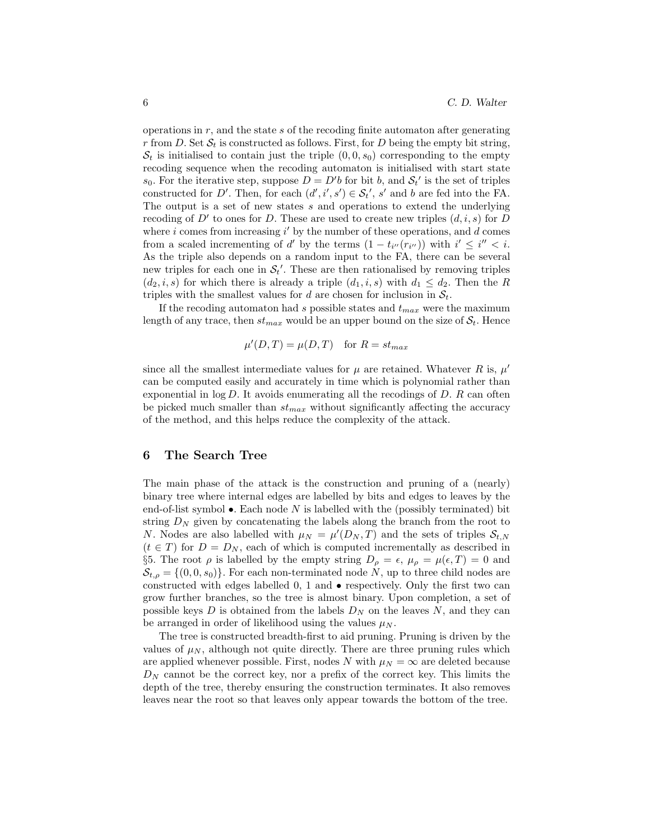operations in  $r$ , and the state  $s$  of the recoding finite automaton after generating r from D. Set  $S_t$  is constructed as follows. First, for D being the empty bit string,  $S_t$  is initialised to contain just the triple  $(0, 0, s_0)$  corresponding to the empty recoding sequence when the recoding automaton is initialised with start state  $s_0$ . For the iterative step, suppose  $D = D'b$  for bit b, and  $S_t'$  is the set of triples constructed for D'. Then, for each  $(d', i', s') \in S_t'$ , s' and b are fed into the FA. The output is a set of new states s and operations to extend the underlying recoding of D' to ones for D. These are used to create new triples  $(d, i, s)$  for D where  $i$  comes from increasing  $i'$  by the number of these operations, and  $d$  comes from a scaled incrementing of d' by the terms  $(1 - t_{i''}(r_{i''}))$  with  $i' \leq i'' < i$ . As the triple also depends on a random input to the FA, there can be several new triples for each one in  $S_t'$ . These are then rationalised by removing triples  $(d_2, i, s)$  for which there is already a triple  $(d_1, i, s)$  with  $d_1 \leq d_2$ . Then the R triples with the smallest values for d are chosen for inclusion in  $S_t$ .

If the recoding automaton had s possible states and  $t_{max}$  were the maximum length of any trace, then  $st_{max}$  would be an upper bound on the size of  $S_t$ . Hence

$$
\mu'(D,T) = \mu(D,T) \quad \text{for } R = st_{max}
$$

since all the smallest intermediate values for  $\mu$  are retained. Whatever R is,  $\mu'$ can be computed easily and accurately in time which is polynomial rather than exponential in  $\log D$ . It avoids enumerating all the recodings of D. R can often be picked much smaller than  $st_{max}$  without significantly affecting the accuracy of the method, and this helps reduce the complexity of the attack.

#### **6 The Search Tree**

The main phase of the attack is the construction and pruning of a (nearly) binary tree where internal edges are labelled by bits and edges to leaves by the end-of-list symbol  $\bullet$ . Each node N is labelled with the (possibly terminated) bit string  $D<sub>N</sub>$  given by concatenating the labels along the branch from the root to N. Nodes are also labelled with  $\mu_N = \mu'(D_N, T)$  and the sets of triples  $\mathcal{S}_{t,N}$  $(t \in T)$  for  $D = D_N$ , each of which is computed incrementally as described in §5. The root  $\rho$  is labelled by the empty string  $D_{\rho} = \epsilon, \mu_{\rho} = \mu(\epsilon, T) = 0$  and  $\mathcal{S}_{t,o} = \{(0,0,s_0)\}\.$  For each non-terminated node N, up to three child nodes are constructed with edges labelled  $0, 1$  and  $\bullet$  respectively. Only the first two can grow further branches, so the tree is almost binary. Upon completion, a set of possible keys  $D$  is obtained from the labels  $D<sub>N</sub>$  on the leaves  $N$ , and they can be arranged in order of likelihood using the values  $\mu_N$ .

The tree is constructed breadth-first to aid pruning. Pruning is driven by the values of  $\mu_N$ , although not quite directly. There are three pruning rules which are applied whenever possible. First, nodes N with  $\mu_N = \infty$  are deleted because  $D<sub>N</sub>$  cannot be the correct key, nor a prefix of the correct key. This limits the depth of the tree, thereby ensuring the construction terminates. It also removes leaves near the root so that leaves only appear towards the bottom of the tree.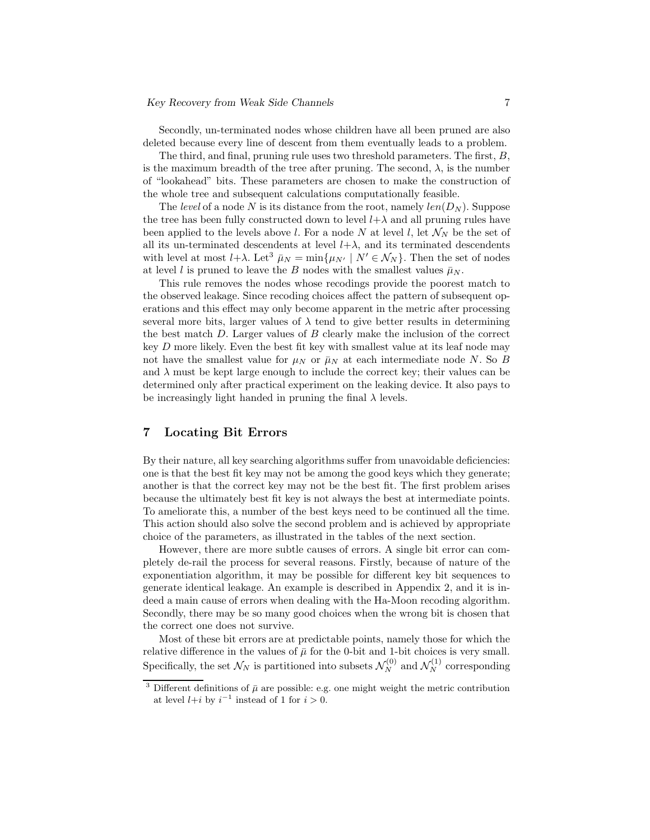#### *Key Recovery from Weak Side Channels* 7

Secondly, un-terminated nodes whose children have all been pruned are also deleted because every line of descent from them eventually leads to a problem.

The third, and final, pruning rule uses two threshold parameters. The first, B, is the maximum breadth of the tree after pruning. The second,  $\lambda$ , is the number of "lookahead" bits. These parameters are chosen to make the construction of the whole tree and subsequent calculations computationally feasible.

The *level* of a node N is its distance from the root, namely  $len(D<sub>N</sub>)$ . Suppose the tree has been fully constructed down to level  $l+\lambda$  and all pruning rules have been applied to the levels above l. For a node N at level l, let  $\mathcal{N}_N$  be the set of all its un-terminated descendents at level  $l+\lambda$ , and its terminated descendents with level at most  $l+\lambda$ . Let<sup>3</sup>  $\bar{\mu}_N = \min\{\mu_{N'} \mid N' \in \mathcal{N}_N\}$ . Then the set of nodes at level l is pruned to leave the B nodes with the smallest values  $\bar{\mu}_N$ .

This rule removes the nodes whose recodings provide the poorest match to the observed leakage. Since recoding choices affect the pattern of subsequent operations and this effect may only become apparent in the metric after processing several more bits, larger values of  $\lambda$  tend to give better results in determining the best match  $D$ . Larger values of  $B$  clearly make the inclusion of the correct key D more likely. Even the best fit key with smallest value at its leaf node may not have the smallest value for  $\mu_N$  or  $\bar{\mu}_N$  at each intermediate node N. So B and  $\lambda$  must be kept large enough to include the correct key; their values can be determined only after practical experiment on the leaking device. It also pays to be increasingly light handed in pruning the final  $\lambda$  levels.

### **7 Locating Bit Errors**

By their nature, all key searching algorithms suffer from unavoidable deficiencies: one is that the best fit key may not be among the good keys which they generate; another is that the correct key may not be the best fit. The first problem arises because the ultimately best fit key is not always the best at intermediate points. To ameliorate this, a number of the best keys need to be continued all the time. This action should also solve the second problem and is achieved by appropriate choice of the parameters, as illustrated in the tables of the next section.

However, there are more subtle causes of errors. A single bit error can completely de-rail the process for several reasons. Firstly, because of nature of the exponentiation algorithm, it may be possible for different key bit sequences to generate identical leakage. An example is described in Appendix 2, and it is indeed a main cause of errors when dealing with the Ha-Moon recoding algorithm. Secondly, there may be so many good choices when the wrong bit is chosen that the correct one does not survive.

Most of these bit errors are at predictable points, namely those for which the relative difference in the values of  $\bar{\mu}$  for the 0-bit and 1-bit choices is very small. Specifically, the set  $\mathcal{N}_N$  is partitioned into subsets  $\mathcal{N}_N^{(0)}$  and  $\mathcal{N}_N^{(1)}$  corresponding

 $\frac{3}{3}$  Different definitions of  $\bar{\mu}$  are possible: e.g. one might weight the metric contribution at level  $l+i$  by  $i^{-1}$  instead of 1 for  $i > 0$ .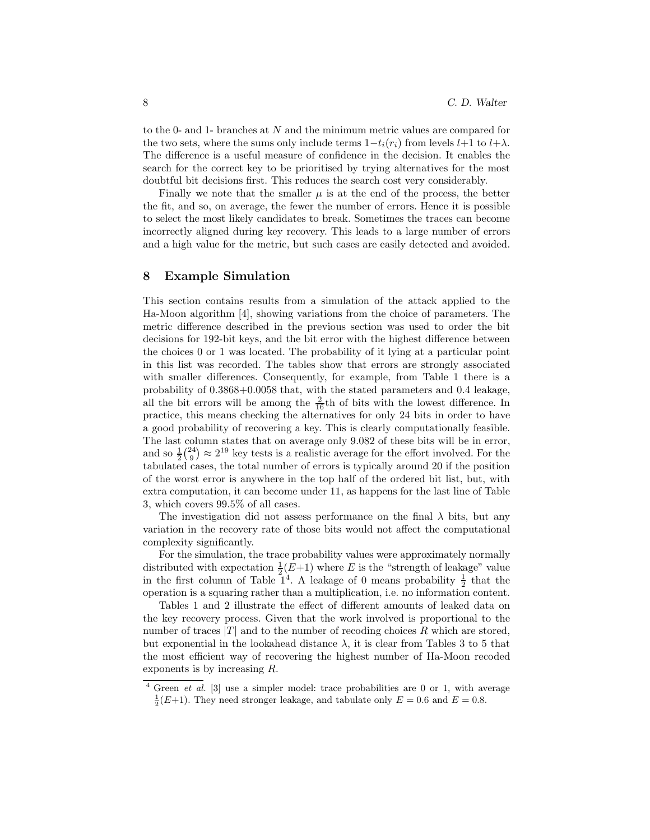to the 0- and 1- branches at N and the minimum metric values are compared for the two sets, where the sums only include terms  $1-t_i(r_i)$  from levels  $l+1$  to  $l+\lambda$ . The difference is a useful measure of confidence in the decision. It enables the search for the correct key to be prioritised by trying alternatives for the most doubtful bit decisions first. This reduces the search cost very considerably.

Finally we note that the smaller  $\mu$  is at the end of the process, the better the fit, and so, on average, the fewer the number of errors. Hence it is possible to select the most likely candidates to break. Sometimes the traces can become incorrectly aligned during key recovery. This leads to a large number of errors and a high value for the metric, but such cases are easily detected and avoided.

#### **8 Example Simulation**

This section contains results from a simulation of the attack applied to the Ha-Moon algorithm [4], showing variations from the choice of parameters. The metric difference described in the previous section was used to order the bit decisions for 192-bit keys, and the bit error with the highest difference between the choices 0 or 1 was located. The probability of it lying at a particular point in this list was recorded. The tables show that errors are strongly associated with smaller differences. Consequently, for example, from Table 1 there is a probability of 0.3868+0.0058 that, with the stated parameters and 0.4 leakage, all the bit errors will be among the  $\frac{2}{16}$ th of bits with the lowest difference. In practice, this means checking the alternatives for only 24 bits in order to have a good probability of recovering a key. This is clearly computationally feasible. The last column states that on average only 9.082 of these bits will be in error, and so  $\frac{1}{2} {24 \choose 9} \approx 2^{19}$  key tests is a realistic average for the effort involved. For the tabulated cases, the total number of errors is typically around 20 if the position of the worst error is anywhere in the top half of the ordered bit list, but, with extra computation, it can become under 11, as happens for the last line of Table 3, which covers 99.5% of all cases.

The investigation did not assess performance on the final  $\lambda$  bits, but any variation in the recovery rate of those bits would not affect the computational complexity significantly.

For the simulation, the trace probability values were approximately normally distributed with expectation  $\frac{1}{2}(E+1)$  where E is the "strength of leakage" value in the first column of Table  $1^4$ . A leakage of 0 means probability  $\frac{1}{2}$  that the operation is a squaring rather than a multiplication, i.e. no information content.

Tables 1 and 2 illustrate the effect of different amounts of leaked data on the key recovery process. Given that the work involved is proportional to the number of traces  $|T|$  and to the number of recoding choices R which are stored, but exponential in the lookahead distance  $\lambda$ , it is clear from Tables 3 to 5 that the most efficient way of recovering the highest number of Ha-Moon recoded exponents is by increasing R.

 $4$  Green *et al.* [3] use a simpler model: trace probabilities are 0 or 1, with average  $\frac{1}{2}(E+1)$ . They need stronger leakage, and tabulate only  $E = 0.6$  and  $E = 0.8$ .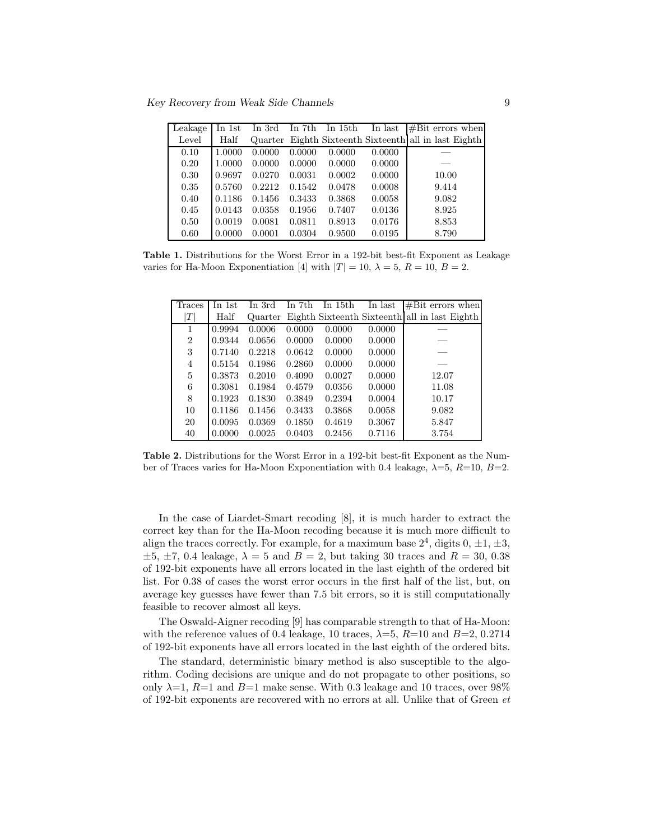| Leakage | In 1st | In 3rd |        | In 7th In 15th | In last | $#Bit$ errors when                                    |
|---------|--------|--------|--------|----------------|---------|-------------------------------------------------------|
| Level   | Half   |        |        |                |         | Quarter Eighth Sixteenth Sixteenth all in last Eighth |
| 0.10    | 1.0000 | 0.0000 | 0.0000 | 0.0000         | 0.0000  |                                                       |
| 0.20    | 1.0000 | 0.0000 | 0.0000 | 0.0000         | 0.0000  |                                                       |
| 0.30    | 0.9697 | 0.0270 | 0.0031 | 0.0002         | 0.0000  | 10.00                                                 |
| 0.35    | 0.5760 | 0.2212 | 0.1542 | 0.0478         | 0.0008  | 9.414                                                 |
| 0.40    | 0.1186 | 0.1456 | 0.3433 | 0.3868         | 0.0058  | 9.082                                                 |
| 0.45    | 0.0143 | 0.0358 | 0.1956 | 0.7407         | 0.0136  | 8.925                                                 |
| 0.50    | 0.0019 | 0.0081 | 0.0811 | 0.8913         | 0.0176  | 8.853                                                 |
| 0.60    | 0.0000 | 0.0001 | 0.0304 | 0.9500         | 0.0195  | 8.790                                                 |

**Table 1.** Distributions for the Worst Error in a 192-bit best-fit Exponent as Leakage varies for Ha-Moon Exponentiation [4] with  $|T|=10, \lambda=5, R=10, B=2.$ 

| Traces                    | In 1st | In 3rd |        | In 7th In 15th | In last | $#Bit$ errors when                                    |
|---------------------------|--------|--------|--------|----------------|---------|-------------------------------------------------------|
| $\left\vert T\right\vert$ | Half   |        |        |                |         | Quarter Eighth Sixteenth Sixteenth all in last Eighth |
| 1                         | 0.9994 | 0.0006 | 0.0000 | 0.0000         | 0.0000  |                                                       |
| $\overline{2}$            | 0.9344 | 0.0656 | 0.0000 | 0.0000         | 0.0000  |                                                       |
| 3                         | 0.7140 | 0.2218 | 0.0642 | 0.0000         | 0.0000  |                                                       |
| 4                         | 0.5154 | 0.1986 | 0.2860 | 0.0000         | 0.0000  |                                                       |
| 5                         | 0.3873 | 0.2010 | 0.4090 | 0.0027         | 0.0000  | 12.07                                                 |
| 6                         | 0.3081 | 0.1984 | 0.4579 | 0.0356         | 0.0000  | 11.08                                                 |
| 8                         | 0.1923 | 0.1830 | 0.3849 | 0.2394         | 0.0004  | 10.17                                                 |
| 10                        | 0.1186 | 0.1456 | 0.3433 | 0.3868         | 0.0058  | 9.082                                                 |
| 20                        | 0.0095 | 0.0369 | 0.1850 | 0.4619         | 0.3067  | 5.847                                                 |
| 40                        | 0.0000 | 0.0025 | 0.0403 | 0.2456         | 0.7116  | 3.754                                                 |

**Table 2.** Distributions for the Worst Error in a 192-bit best-fit Exponent as the Number of Traces varies for Ha-Moon Exponentiation with 0.4 leakage,  $\lambda=5$ ,  $R=10$ ,  $B=2$ .

In the case of Liardet-Smart recoding [8], it is much harder to extract the correct key than for the Ha-Moon recoding because it is much more difficult to align the traces correctly. For example, for a maximum base  $2^4$ , digits  $0, \pm 1, \pm 3,$  $\pm 5$ ,  $\pm 7$ , 0.4 leakage,  $\lambda = 5$  and  $B = 2$ , but taking 30 traces and  $R = 30$ , 0.38 of 192-bit exponents have all errors located in the last eighth of the ordered bit list. For 0.38 of cases the worst error occurs in the first half of the list, but, on average key guesses have fewer than 7.5 bit errors, so it is still computationally feasible to recover almost all keys.

The Oswald-Aigner recoding [9] has comparable strength to that of Ha-Moon: with the reference values of 0.4 leakage, 10 traces,  $\lambda=5$ ,  $R=10$  and  $B=2$ , 0.2714 of 192-bit exponents have all errors located in the last eighth of the ordered bits.

The standard, deterministic binary method is also susceptible to the algorithm. Coding decisions are unique and do not propagate to other positions, so only  $\lambda=1$ ,  $R=1$  and  $B=1$  make sense. With 0.3 leakage and 10 traces, over 98% of 192-bit exponents are recovered with no errors at all. Unlike that of Green *et*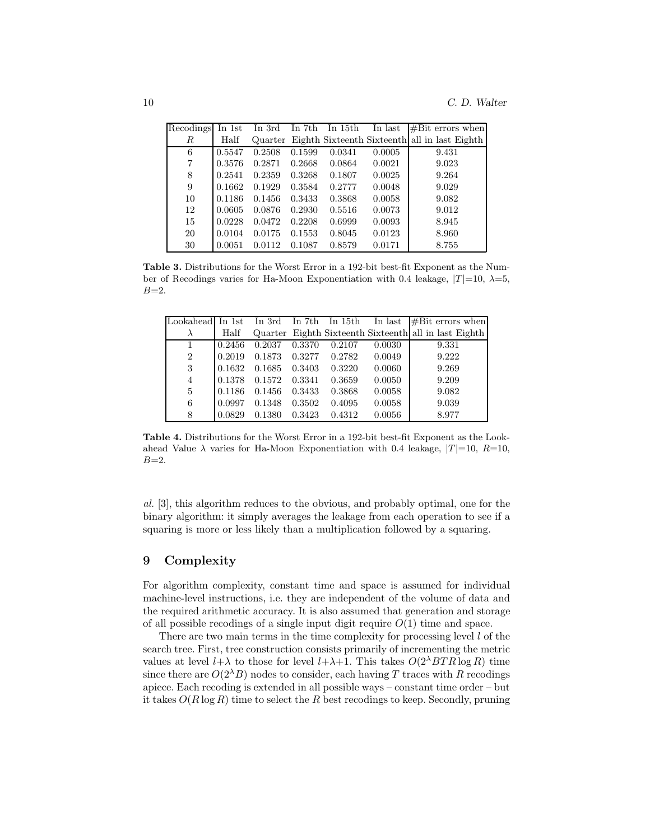| Recodings      | In 1st |        |        | In 3rd In 7th In 15th | In last | $#Bit$ errors when                                    |
|----------------|--------|--------|--------|-----------------------|---------|-------------------------------------------------------|
| R              | Half   |        |        |                       |         | Quarter Eighth Sixteenth Sixteenth all in last Eighth |
| 6              | 0.5547 | 0.2508 | 0.1599 | 0.0341                | 0.0005  | 9.431                                                 |
| $\overline{7}$ | 0.3576 | 0.2871 | 0.2668 | 0.0864                | 0.0021  | 9.023                                                 |
| 8              | 0.2541 | 0.2359 | 0.3268 | 0.1807                | 0.0025  | 9.264                                                 |
| 9              | 0.1662 | 0.1929 | 0.3584 | 0.2777                | 0.0048  | 9.029                                                 |
| 10             | 0.1186 | 0.1456 | 0.3433 | 0.3868                | 0.0058  | 9.082                                                 |
| 12             | 0.0605 | 0.0876 | 0.2930 | 0.5516                | 0.0073  | 9.012                                                 |
| 15             | 0.0228 | 0.0472 | 0.2208 | 0.6999                | 0.0093  | 8.945                                                 |
| 20             | 0.0104 | 0.0175 | 0.1553 | 0.8045                | 0.0123  | 8.960                                                 |
| 30             | 0.0051 | 0.0112 | 0.1087 | 0.8579                | 0.0171  | 8.755                                                 |

**Table 3.** Distributions for the Worst Error in a 192-bit best-fit Exponent as the Number of Recodings varies for Ha-Moon Exponentiation with 0.4 leakage,  $|T|=10$ ,  $\lambda=5$ ,  $B=2$ .

| Lookahead In 1st In 3rd In 7th In 15th In last |        |        |        |        |        | $#Bit$ errors when                                    |
|------------------------------------------------|--------|--------|--------|--------|--------|-------------------------------------------------------|
| $\lambda$                                      | Half   |        |        |        |        | Quarter Eighth Sixteenth Sixteenth all in last Eighth |
| 1                                              | 0.2456 | 0.2037 | 0.3370 | 0.2107 | 0.0030 | 9.331                                                 |
| $\overline{2}$                                 | 0.2019 | 0.1873 | 0.3277 | 0.2782 | 0.0049 | 9.222                                                 |
| 3                                              | 0.1632 | 0.1685 | 0.3403 | 0.3220 | 0.0060 | 9.269                                                 |
| 4                                              | 0.1378 | 0.1572 | 0.3341 | 0.3659 | 0.0050 | 9.209                                                 |
| 5                                              | 0.1186 | 0.1456 | 0.3433 | 0.3868 | 0.0058 | 9.082                                                 |
| 6                                              | 0.0997 | 0.1348 | 0.3502 | 0.4095 | 0.0058 | 9.039                                                 |
| 8                                              | 0.0829 | 0.1380 | 0.3423 | 0.4312 | 0.0056 | 8.977                                                 |
|                                                |        |        |        |        |        |                                                       |

**Table 4.** Distributions for the Worst Error in a 192-bit best-fit Exponent as the Lookahead Value  $\lambda$  varies for Ha-Moon Exponentiation with 0.4 leakage,  $|T|=10$ ,  $R=10$ ,  $B=2$ .

*al.* [3], this algorithm reduces to the obvious, and probably optimal, one for the binary algorithm: it simply averages the leakage from each operation to see if a squaring is more or less likely than a multiplication followed by a squaring.

# **9 Complexity**

For algorithm complexity, constant time and space is assumed for individual machine-level instructions, i.e. they are independent of the volume of data and the required arithmetic accuracy. It is also assumed that generation and storage of all possible recodings of a single input digit require  $O(1)$  time and space.

There are two main terms in the time complexity for processing level  $l$  of the search tree. First, tree construction consists primarily of incrementing the metric values at level  $l+\lambda$  to those for level  $l+\lambda+1$ . This takes  $O(2^{\lambda}BTR\log R)$  time since there are  $O(2^{\lambda}B)$  nodes to consider, each having T traces with R recodings apiece. Each recoding is extended in all possible ways – constant time order – but it takes  $O(R \log R)$  time to select the R best recodings to keep. Secondly, pruning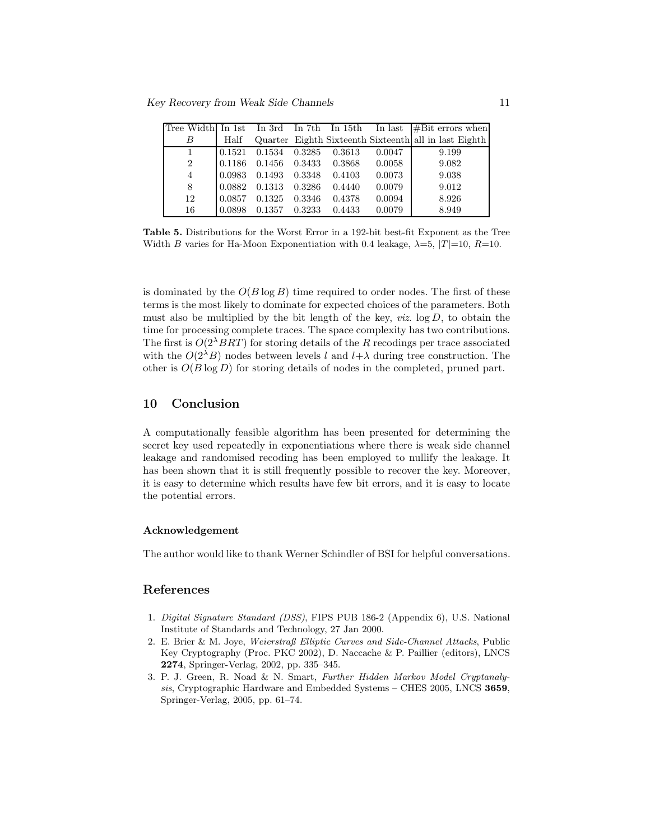|                |        |               |        |        |        | Tree Width In 1st In 3rd In 7th In 15th In last #Bit errors when |
|----------------|--------|---------------|--------|--------|--------|------------------------------------------------------------------|
| В              | Half   |               |        |        |        | Quarter Eighth Sixteenth Sixteenth all in last Eighth            |
|                | 0.1521 | 0.1534 0.3285 |        | 0.3613 | 0.0047 | 9.199                                                            |
| $\overline{2}$ | 0.1186 | 0.1456 0.3433 |        | 0.3868 | 0.0058 | 9.082                                                            |
| 4              | 0.0983 | 0.1493        | 0.3348 | 0.4103 | 0.0073 | 9.038                                                            |
| 8              | 0.0882 | 0.1313        | 0.3286 | 0.4440 | 0.0079 | 9.012                                                            |
| 12             | 0.0857 | 0.1325        | 0.3346 | 0.4378 | 0.0094 | 8.926                                                            |
| 16             | 0.0898 | 0.1357        | 0.3233 | 0.4433 | 0.0079 | 8.949                                                            |

**Table 5.** Distributions for the Worst Error in a 192-bit best-fit Exponent as the Tree Width B varies for Ha-Moon Exponentiation with 0.4 leakage,  $\lambda=5$ ,  $|T|=10$ ,  $R=10$ .

is dominated by the  $O(B \log B)$  time required to order nodes. The first of these terms is the most likely to dominate for expected choices of the parameters. Both must also be multiplied by the bit length of the key, *viz*. log D, to obtain the time for processing complete traces. The space complexity has two contributions. The first is  $O(2^{\lambda}BRT)$  for storing details of the R recodings per trace associated with the  $O(2^{\lambda}B)$  nodes between levels l and  $l+\lambda$  during tree construction. The other is  $O(B \log D)$  for storing details of nodes in the completed, pruned part.

# **10 Conclusion**

A computationally feasible algorithm has been presented for determining the secret key used repeatedly in exponentiations where there is weak side channel leakage and randomised recoding has been employed to nullify the leakage. It has been shown that it is still frequently possible to recover the key. Moreover, it is easy to determine which results have few bit errors, and it is easy to locate the potential errors.

#### **Acknowledgement**

The author would like to thank Werner Schindler of BSI for helpful conversations.

#### **References**

- 1. Digital Signature Standard (DSS), FIPS PUB 186-2 (Appendix 6), U.S. National Institute of Standards and Technology, 27 Jan 2000.
- 2. E. Brier & M. Joye, Weierstraß Elliptic Curves and Side-Channel Attacks, Public Key Cryptography (Proc. PKC 2002), D. Naccache & P. Paillier (editors), LNCS **2274**, Springer-Verlag, 2002, pp. 335–345.
- 3. P. J. Green, R. Noad & N. Smart, Further Hidden Markov Model Cryptanalysis, Cryptographic Hardware and Embedded Systems – CHES 2005, LNCS **3659**, Springer-Verlag, 2005, pp. 61–74.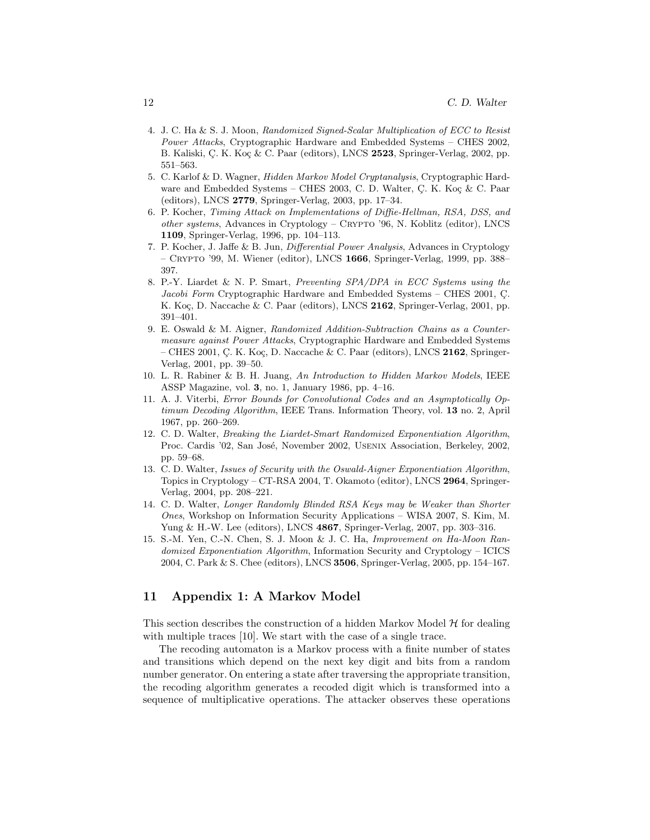- 4. J. C. Ha & S. J. Moon, Randomized Signed-Scalar Multiplication of ECC to Resist Power Attacks, Cryptographic Hardware and Embedded Systems – CHES 2002, B. Kaliski, C¸ . K. Ko¸c & C. Paar (editors), LNCS **2523**, Springer-Verlag, 2002, pp. 551–563.
- 5. C. Karlof & D. Wagner, Hidden Markov Model Cryptanalysis, Cryptographic Hardware and Embedded Systems – CHES 2003, C. D. Walter, C. K. Koç & C. Paar (editors), LNCS **2779**, Springer-Verlag, 2003, pp. 17–34.
- 6. P. Kocher, Timing Attack on Implementations of Diffie-Hellman, RSA, DSS, and other systems, Advances in Cryptology – Crypto '96, N. Koblitz (editor), LNCS **1109**, Springer-Verlag, 1996, pp. 104–113.
- 7. P. Kocher, J. Jaffe & B. Jun, Differential Power Analysis, Advances in Cryptology – Crypto '99, M. Wiener (editor), LNCS **1666**, Springer-Verlag, 1999, pp. 388– 397.
- 8. P.-Y. Liardet & N. P. Smart, Preventing SPA/DPA in ECC Systems using the  $Jacobi$  Form Cryptographic Hardware and Embedded Systems – CHES 2001, C. K. Koç, D. Naccache & C. Paar (editors), LNCS 2162, Springer-Verlag, 2001, pp. 391–401.
- 9. E. Oswald & M. Aigner, Randomized Addition-Subtraction Chains as a Countermeasure against Power Attacks, Cryptographic Hardware and Embedded Systems – CHES 2001, C¸ . K. Ko¸c, D. Naccache & C. Paar (editors), LNCS **2162**, Springer-Verlag, 2001, pp. 39–50.
- 10. L. R. Rabiner & B. H. Juang, An Introduction to Hidden Markov Models, IEEE ASSP Magazine, vol. **3**, no. 1, January 1986, pp. 4–16.
- 11. A. J. Viterbi, Error Bounds for Convolutional Codes and an Asymptotically Optimum Decoding Algorithm, IEEE Trans. Information Theory, vol. **13** no. 2, April 1967, pp. 260–269.
- 12. C. D. Walter, Breaking the Liardet-Smart Randomized Exponentiation Algorithm, Proc. Cardis '02, San José, November 2002, USENIX Association, Berkeley, 2002, pp. 59–68.
- 13. C. D. Walter, Issues of Security with the Oswald-Aigner Exponentiation Algorithm, Topics in Cryptology – CT-RSA 2004, T. Okamoto (editor), LNCS **2964**, Springer-Verlag, 2004, pp. 208–221.
- 14. C. D. Walter, Longer Randomly Blinded RSA Keys may be Weaker than Shorter Ones, Workshop on Information Security Applications – WISA 2007, S. Kim, M. Yung & H.-W. Lee (editors), LNCS **4867**, Springer-Verlag, 2007, pp. 303–316.
- 15. S.-M. Yen, C.-N. Chen, S. J. Moon & J. C. Ha, Improvement on Ha-Moon Randomized Exponentiation Algorithm, Information Security and Cryptology – ICICS 2004, C. Park & S. Chee (editors), LNCS **3506**, Springer-Verlag, 2005, pp. 154–167.

# **11 Appendix 1: A Markov Model**

This section describes the construction of a hidden Markov Model  $H$  for dealing with multiple traces [10]. We start with the case of a single trace.

The recoding automaton is a Markov process with a finite number of states and transitions which depend on the next key digit and bits from a random number generator. On entering a state after traversing the appropriate transition, the recoding algorithm generates a recoded digit which is transformed into a sequence of multiplicative operations. The attacker observes these operations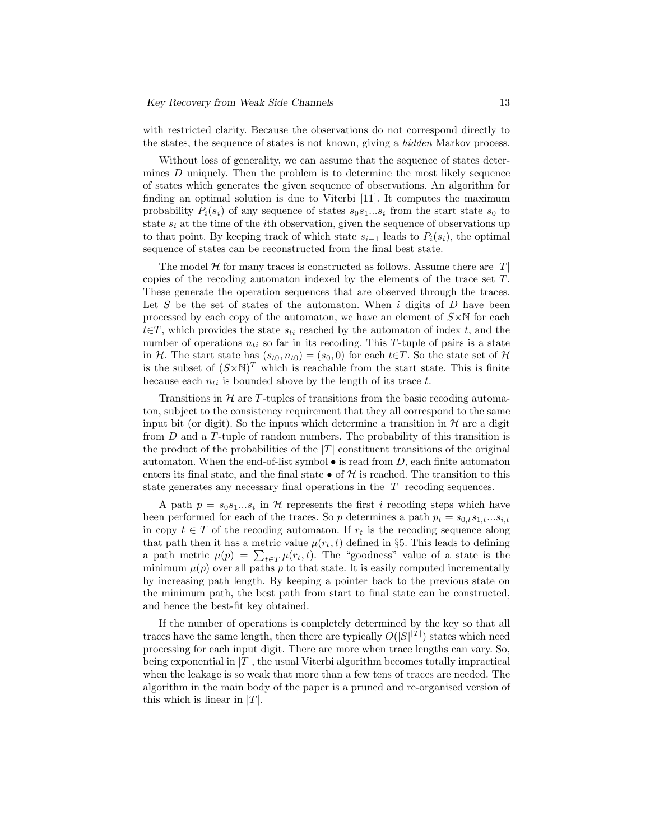with restricted clarity. Because the observations do not correspond directly to the states, the sequence of states is not known, giving a *hidden* Markov process.

Without loss of generality, we can assume that the sequence of states determines D uniquely. Then the problem is to determine the most likely sequence of states which generates the given sequence of observations. An algorithm for finding an optimal solution is due to Viterbi [11]. It computes the maximum probability  $P_i(s_i)$  of any sequence of states  $s_0s_1...s_i$  from the start state  $s_0$  to state  $s_i$  at the time of the *i*th observation, given the sequence of observations up to that point. By keeping track of which state  $s_{i-1}$  leads to  $P_i(s_i)$ , the optimal sequence of states can be reconstructed from the final best state.

The model  $H$  for many traces is constructed as follows. Assume there are  $|T|$ copies of the recoding automaton indexed by the elements of the trace set T . These generate the operation sequences that are observed through the traces. Let S be the set of states of the automaton. When i digits of D have been processed by each copy of the automaton, we have an element of  $S \times N$  for each  $t \in T$ , which provides the state  $s_{ti}$  reached by the automaton of index t, and the number of operations  $n_{ti}$  so far in its recoding. This T-tuple of pairs is a state in H. The start state has  $(s_{t0}, n_{t0})=(s_0, 0)$  for each  $t\in T$ . So the state set of H is the subset of  $(S \times N)^T$  which is reachable from the start state. This is finite because each  $n_{ti}$  is bounded above by the length of its trace t.

Transitions in  $H$  are T-tuples of transitions from the basic recoding automaton, subject to the consistency requirement that they all correspond to the same input bit (or digit). So the inputs which determine a transition in  $H$  are a digit from D and a T -tuple of random numbers. The probability of this transition is the product of the probabilities of the  $|T|$  constituent transitions of the original automaton. When the end-of-list symbol  $\bullet$  is read from D, each finite automaton enters its final state, and the final state  $\bullet$  of H is reached. The transition to this state generates any necessary final operations in the  $|T|$  recoding sequences.

A path  $p = s_0 s_1...s_i$  in H represents the first i recoding steps which have been performed for each of the traces. So p determines a path  $p_t = s_{0,t} s_{1,t}...s_{i,t}$ in copy  $t \in T$  of the recoding automaton. If  $r_t$  is the recoding sequence along that path then it has a metric value  $\mu(r_t, t)$  defined in §5. This leads to defining a path metric  $\mu(p) = \sum_{t \in T} \mu(r_t, t)$ . The "goodness" value of a state is the minimum  $\mu(p)$  over all paths p to that state. It is easily computed incrementally by increasing path length. By keeping a pointer back to the previous state on the minimum path, the best path from start to final state can be constructed, and hence the best-fit key obtained.

If the number of operations is completely determined by the key so that all traces have the same length, then there are typically  $O(|S||^{T})$  states which need processing for each input digit. There are more when trace lengths can vary. So, being exponential in  $|T|$ , the usual Viterbi algorithm becomes totally impractical when the leakage is so weak that more than a few tens of traces are needed. The algorithm in the main body of the paper is a pruned and re-organised version of this which is linear in  $|T|$ .